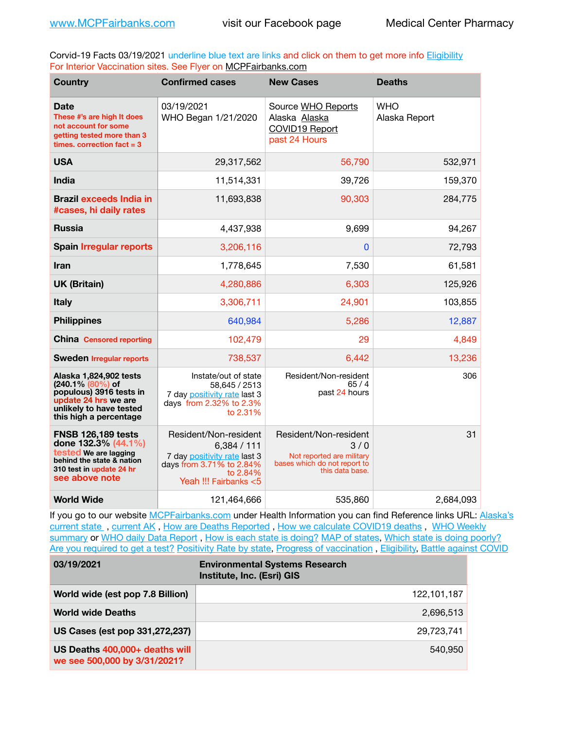Corvid-19 Facts 03/19/2021 underline blue text are links and click on them to get more info [Eligibility](http://dhss.alaska.gov/dph/Epi/id/Pages/COVID-19/VaccineAvailability.aspx) For Interior Vaccination sites. See Flyer on [MCPFairbanks.com](http://www.MCPFairbanks.com)

| <b>Country</b>                                                                                                                                       | <b>Confirmed cases</b>                                                                                                              | <b>New Cases</b>                                                                                             | <b>Deaths</b>               |
|------------------------------------------------------------------------------------------------------------------------------------------------------|-------------------------------------------------------------------------------------------------------------------------------------|--------------------------------------------------------------------------------------------------------------|-----------------------------|
| Date<br>These #'s are high It does<br>not account for some<br>getting tested more than 3<br>times, correction fact $=$ 3                             | 03/19/2021<br>WHO Began 1/21/2020                                                                                                   | Source WHO Reports<br>Alaska Alaska<br>COVID19 Report<br>past 24 Hours                                       | <b>WHO</b><br>Alaska Report |
| <b>USA</b>                                                                                                                                           | 29,317,562                                                                                                                          | 56,790                                                                                                       | 532,971                     |
| <b>India</b>                                                                                                                                         | 11,514,331                                                                                                                          | 39,726                                                                                                       | 159,370                     |
| <b>Brazil exceeds India in</b><br>#cases, hi daily rates                                                                                             | 11,693,838                                                                                                                          | 90,303                                                                                                       | 284,775                     |
| <b>Russia</b>                                                                                                                                        | 4,437,938                                                                                                                           | 9,699                                                                                                        | 94,267                      |
| <b>Spain Irregular reports</b>                                                                                                                       | 3,206,116                                                                                                                           | $\bf{0}$                                                                                                     | 72,793                      |
| Iran                                                                                                                                                 | 1,778,645                                                                                                                           | 7,530                                                                                                        | 61,581                      |
| <b>UK (Britain)</b>                                                                                                                                  | 4,280,886                                                                                                                           | 6,303                                                                                                        | 125,926                     |
| <b>Italy</b>                                                                                                                                         | 3,306,711                                                                                                                           | 24,901                                                                                                       | 103,855                     |
| <b>Philippines</b>                                                                                                                                   | 640,984                                                                                                                             | 5,286                                                                                                        | 12,887                      |
| <b>China Censored reporting</b>                                                                                                                      | 102,479                                                                                                                             | 29                                                                                                           | 4,849                       |
| <b>Sweden Irregular reports</b>                                                                                                                      | 738,537                                                                                                                             | 6,442                                                                                                        | 13,236                      |
| Alaska 1,824,902 tests<br>(240.1% (80%) of<br>populous) 3916 tests in<br>update 24 hrs we are<br>unlikely to have tested<br>this high a percentage   | Instate/out of state<br>58,645 / 2513<br>7 day positivity rate last 3<br>days from 2.32% to 2.3%<br>to 2.31%                        | Resident/Non-resident<br>65/4<br>past 24 hours                                                               | 306                         |
| <b>FNSB 126,189 tests</b><br>done 132.3% (44.1%)<br>tested We are lagging<br>behind the state & nation<br>310 test in update 24 hr<br>see above note | Resident/Non-resident<br>6,384/111<br>7 day positivity rate last 3<br>days from 3.71% to 2.84%<br>to 2.84%<br>Yeah !!! Fairbanks <5 | Resident/Non-resident<br>3/0<br>Not reported are military<br>bases which do not report to<br>this data base. | 31                          |
| <b>World Wide</b>                                                                                                                                    | 121,464,666                                                                                                                         | 535,860                                                                                                      | 2,684,093                   |

If you go to our website [MCPFairbanks.com](http://www.MCPFairbanks.com) under Health Information you can find Reference links URL: Alaska's [current state](https://coronavirus-response-alaska-dhss.hub.arcgis.com) , [current AK](http://dhss.alaska.gov/dph/Epi/id/Pages/COVID-19/communications.aspx#cases) , [How are Deaths Reported](http://dhss.alaska.gov/dph/Epi/id/Pages/COVID-19/deathcounts.aspx) , [How we calculate COVID19 deaths](https://coronavirus-response-alaska-dhss.hub.arcgis.com/search?collection=Document&groupIds=41ccb3344ebc4bd682c74073eba21f42) , [WHO Weekly](http://www.who.int)  [summary](http://www.who.int) or [WHO daily Data Report](https://covid19.who.int/table), [How is each state is doing?](https://www.msn.com/en-us/news/us/state-by-state-coronavirus-news/ar-BB13E1PX?fbclid=IwAR0_OBJH7lSyTN3ug_MsOeFnNgB1orTa9OBgilKJ7dhnwlVvHEsptuKkj1c) [MAP of states,](https://www.nationalgeographic.com/science/graphics/graphic-tracking-coronavirus-infections-us?cmpid=org=ngp::mc=crm-email::src=ngp::cmp=editorial::add=SpecialEdition_20210305&rid=B9A6DF5992658E8E35CE023113CFEA4C) [Which state is doing poorly?](https://bestlifeonline.com/covid-outbreak-your-state/?utm_source=nsltr&utm_medium=email&utm_content=covid-outbreak-your-state&utm_campaign=launch) [Are you required to get a test?](http://dhss.alaska.gov/dph/Epi/id/SiteAssets/Pages/HumanCoV/Whattodoafteryourtest.pdf) [Positivity Rate by state](https://coronavirus.jhu.edu/testing/individual-states/alaska), Progress of vaccination, [Eligibility,](http://dhss.alaska.gov/dph/Epi/id/Pages/COVID-19/VaccineAvailability.aspx) [Battle against COVID](https://www.nationalgeographic.com/science/graphics/graphic-tracking-coronavirus-infections-us?cmpid=org=ngp::mc=crm-email::src=ngp::cmp=editorial::add=SpecialEdition_20210219&rid=B9A6DF5992658E8E35CE023113CFEA4C)

| 03/19/2021                                                     | <b>Environmental Systems Research</b><br>Institute, Inc. (Esri) GIS |
|----------------------------------------------------------------|---------------------------------------------------------------------|
| World wide (est pop 7.8 Billion)                               | 122,101,187                                                         |
| <b>World wide Deaths</b>                                       | 2,696,513                                                           |
| US Cases (est pop 331,272,237)                                 | 29,723,741                                                          |
| US Deaths 400,000+ deaths will<br>we see 500,000 by 3/31/2021? | 540,950                                                             |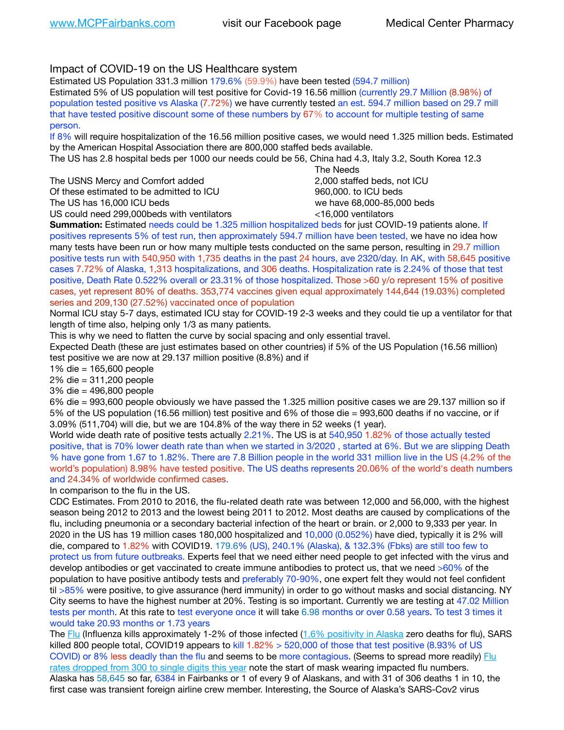Impact of COVID-19 on the US Healthcare system

Estimated US Population 331.3 million 179.6% (59.9%) have been tested (594.7 million)

Estimated 5% of US population will test positive for Covid-19 16.56 million (currently 29.7 Million (8.98%) of population tested positive vs Alaska (7.72%) we have currently tested an est. 594.7 million based on 29.7 mill that have tested positive discount some of these numbers by 67% to account for multiple testing of same person.

If 8% will require hospitalization of the 16.56 million positive cases, we would need 1.325 million beds. Estimated by the American Hospital Association there are 800,000 staffed beds available.

The US has 2.8 hospital beds per 1000 our needs could be 56, China had 4.3, Italy 3.2, South Korea 12.3

| The USNS Mercy and Comfort added         |  |
|------------------------------------------|--|
| Of these estimated to be admitted to ICU |  |
| The US has 16.000 ICU beds               |  |
|                                          |  |

 The Needs 2,000 staffed beds, not ICU 960,000. to ICU beds we have 68,000-85,000 beds

US could need 299,000 beds with ventilators  $\sim$  16,000 ventilators

**Summation:** Estimated needs could be 1.325 million hospitalized beds for just COVID-19 patients alone. If positives represents 5% of test run, then approximately 594.7 million have been tested, we have no idea how many tests have been run or how many multiple tests conducted on the same person, resulting in 29.7 million positive tests run with 540,950 with 1,735 deaths in the past 24 hours, ave 2320/day. In AK, with 58,645 positive cases 7.72% of Alaska, 1,313 hospitalizations, and 306 deaths. Hospitalization rate is 2.24% of those that test positive, Death Rate 0.522% overall or 23.31% of those hospitalized. Those >60 y/o represent 15% of positive cases, yet represent 80% of deaths. 353,774 vaccines given equal approximately 144,644 (19.03%) completed series and 209,130 (27.52%) vaccinated once of population

Normal ICU stay 5-7 days, estimated ICU stay for COVID-19 2-3 weeks and they could tie up a ventilator for that length of time also, helping only 1/3 as many patients.

This is why we need to flatten the curve by social spacing and only essential travel.

Expected Death (these are just estimates based on other countries) if 5% of the US Population (16.56 million) test positive we are now at 29.137 million positive (8.8%) and if

1% die = 165,600 people

2% die = 311,200 people

3% die = 496,800 people

6% die = 993,600 people obviously we have passed the 1.325 million positive cases we are 29.137 million so if 5% of the US population (16.56 million) test positive and 6% of those die = 993,600 deaths if no vaccine, or if 3.09% (511,704) will die, but we are 104.8% of the way there in 52 weeks (1 year).

World wide death rate of positive tests actually 2.21%. The US is at 540,950 1.82% of those actually tested positive, that is 70% lower death rate than when we started in 3/2020 , started at 6%. But we are slipping Death % have gone from 1.67 to 1.82%. There are 7.8 Billion people in the world 331 million live in the US (4.2% of the world's population) 8.98% have tested positive. The US deaths represents 20.06% of the world's death numbers and 24.34% of worldwide confirmed cases.

In comparison to the flu in the US.

CDC Estimates. From 2010 to 2016, the flu-related death rate was between 12,000 and 56,000, with the highest season being 2012 to 2013 and the lowest being 2011 to 2012. Most deaths are caused by complications of the flu, including pneumonia or a secondary bacterial infection of the heart or brain. or 2,000 to 9,333 per year. In 2020 in the US has 19 million cases 180,000 hospitalized and 10,000 (0.052%) have died, typically it is 2% will die, compared to 1.82% with COVID19. 179.6% (US), 240.1% (Alaska), & 132.3% (Fbks) are still too few to protect us from future outbreaks. Experts feel that we need either need people to get infected with the virus and develop antibodies or get vaccinated to create immune antibodies to protect us, that we need >60% of the population to have positive antibody tests and preferably 70-90%, one expert felt they would not feel confident til >85% were positive, to give assurance (herd immunity) in order to go without masks and social distancing. NY City seems to have the highest number at 20%. Testing is so important. Currently we are testing at 47.02 Million tests per month. At this rate to test everyone once it will take 6.98 months or over 0.58 years. To test 3 times it would take 20.93 months or 1.73 years

The [Flu](https://lnks.gd/l/eyJhbGciOiJIUzI1NiJ9.eyJidWxsZXRpbl9saW5rX2lkIjoxMDMsInVyaSI6ImJwMjpjbGljayIsImJ1bGxldGluX2lkIjoiMjAyMTAyMjYuMzYwNDA3NTEiLCJ1cmwiOiJodHRwczovL3d3dy5jZGMuZ292L2ZsdS93ZWVrbHkvb3ZlcnZpZXcuaHRtIn0.ePMA_hsZ-pTnhWSyg1gHvHWYTu2XceVOt0JejxvP1WE/s/500544915/br/98428119752-l) (Influenza kills approximately 1-2% of those infected ([1.6% positivity in Alaska](http://dhss.alaska.gov/dph/Epi/id/SiteAssets/Pages/influenza/trends/Snapshot.pdf) zero deaths for flu), SARS killed 800 people total, COVID19 appears to kill  $1.82\% > 520,000$  of those that test positive (8.93% of US COVID) or 8% less deadly than the flu and seems to be more contagious. (Seems to spread more readily) [Flu](https://lnks.gd/l/eyJhbGciOiJIUzI1NiJ9.eyJidWxsZXRpbl9saW5rX2lkIjoxMDEsInVyaSI6ImJwMjpjbGljayIsImJ1bGxldGluX2lkIjoiMjAyMTAyMjYuMzYwNDA3NTEiLCJ1cmwiOiJodHRwOi8vZGhzcy5hbGFza2EuZ292L2RwaC9FcGkvaWQvUGFnZXMvaW5mbHVlbnphL2ZsdWluZm8uYXNweCJ9.oOe3nt2fww6XpsNhb4FZfmtPfPa-irGaldpkURBJhSo/s/500544915/br/98428119752-l)  [rates dropped from 300 to single digits this year](https://lnks.gd/l/eyJhbGciOiJIUzI1NiJ9.eyJidWxsZXRpbl9saW5rX2lkIjoxMDEsInVyaSI6ImJwMjpjbGljayIsImJ1bGxldGluX2lkIjoiMjAyMTAyMjYuMzYwNDA3NTEiLCJ1cmwiOiJodHRwOi8vZGhzcy5hbGFza2EuZ292L2RwaC9FcGkvaWQvUGFnZXMvaW5mbHVlbnphL2ZsdWluZm8uYXNweCJ9.oOe3nt2fww6XpsNhb4FZfmtPfPa-irGaldpkURBJhSo/s/500544915/br/98428119752-l) note the start of mask wearing impacted flu numbers. Alaska has 58,645 so far, 6384 in Fairbanks or 1 of every 9 of Alaskans, and with 31 of 306 deaths 1 in 10, the first case was transient foreign airline crew member. Interesting, the Source of Alaska's SARS-Cov2 virus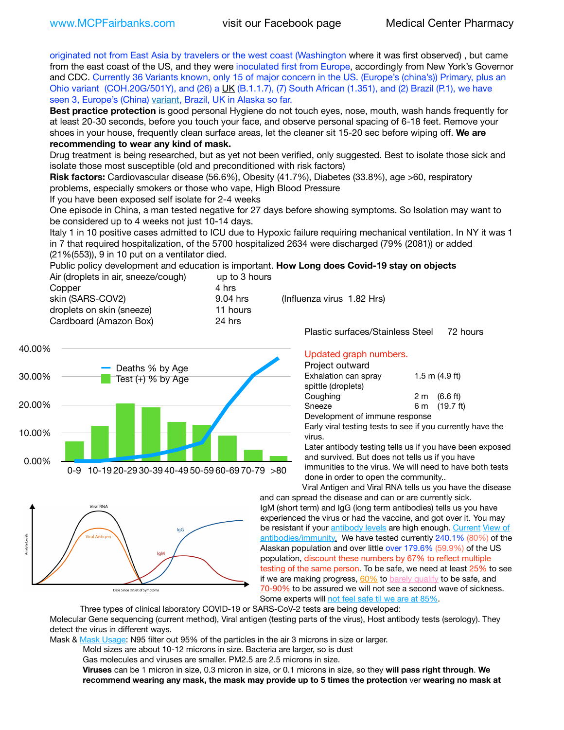originated not from East Asia by travelers or the west coast (Washington where it was first observed) , but came from the east coast of the US, and they were inoculated first from Europe, accordingly from New York's Governor and CDC. Currently 36 Variants known, only 15 of major concern in the US. (Europe's (china's)) Primary, plus an Ohio variant (COH.20G/501Y), and (26) a  $\underline{UK}$  (B.1.1.7), (7) South African (1.351), and (2) Brazil (P.1), we have seen 3, Europe's (China) [variant,](https://www.webmd.com/lung/news/20210318/cdc-who-create-threat-levels-for-covid-variants?ecd=wnl_cvd_031921&ctr=wnl-cvd-031921&mb=kYbf7DsHb7YGjh/1RUkcAW0T6iorImAU1TDZh18RYs0=_Support_titleLink_2) Brazil, UK in Alaska so far.

**Best practice protection** is good personal Hygiene do not touch eyes, nose, mouth, wash hands frequently for at least 20-30 seconds, before you touch your face, and observe personal spacing of 6-18 feet. Remove your shoes in your house, frequently clean surface areas, let the cleaner sit 15-20 sec before wiping off. **We are recommending to wear any kind of mask.**

Drug treatment is being researched, but as yet not been verified, only suggested. Best to isolate those sick and isolate those most susceptible (old and preconditioned with risk factors)

**Risk factors:** Cardiovascular disease (56.6%), Obesity (41.7%), Diabetes (33.8%), age >60, respiratory problems, especially smokers or those who vape, High Blood Pressure

If you have been exposed self isolate for 2-4 weeks

One episode in China, a man tested negative for 27 days before showing symptoms. So Isolation may want to be considered up to 4 weeks not just 10-14 days.

Italy 1 in 10 positive cases admitted to ICU due to Hypoxic failure requiring mechanical ventilation. In NY it was 1 in 7 that required hospitalization, of the 5700 hospitalized 2634 were discharged (79% (2081)) or added (21%(553)), 9 in 10 put on a ventilator died.

Public policy development and education is important. **How Long does Covid-19 stay on objects** Air (droplets in air, sneeze/cough) up to 3 hours Copper 4 hrs 9.04 hrs (Influenza virus 1.82 Hrs)

> 11 hours 24 hrs

| skin (SARS-COV2)          |
|---------------------------|
| droplets on skin (sneeze) |
| Cardboard (Amazon Box)    |



Viral RNA lgG **Tral Antine** Days Since Onset of Symptoms

Updated graph numbers.

Plastic surfaces/Stainless Steel 72 hours

Project outward

| i ivicul vulwaiu               |                        |  |
|--------------------------------|------------------------|--|
| Exhalation can spray           | $1.5$ m $(4.9$ ft)     |  |
| spittle (droplets)             |                        |  |
| Coughing                       | $2 \text{ m}$ (6.6 ft) |  |
| Sneeze                         | 6 m (19.7 ft)          |  |
| Development of immune response |                        |  |

Early viral testing tests to see if you currently have the virus.

Later antibody testing tells us if you have been exposed and survived. But does not tells us if you have immunities to the virus. We will need to have both tests done in order to open the community..

Viral Antigen and Viral RNA tells us you have the disease and can spread the disease and can or are currently sick. IgM (short term) and IgG (long term antibodies) tells us you have experienced the virus or had the vaccine, and got over it. You may be resistant if your [antibody levels](https://www.cdc.gov/coronavirus/2019-ncov/lab/resources/antibody-tests.html) are high enough. [Current](https://l.facebook.com/l.php?u=https://www.itv.com/news/2020-10-26/covid-19-antibody-levels-reduce-over-time-study-finds?fbclid=IwAR3Dapzh1qIH1EIOdUQI2y8THf7jfA4KBCaJz8Qg-8xe1YsrR4nsAHDIXSY&h=AT30nut8pkqp0heVuz5W2rT2WFFm-2Ab52BsJxZZCNlGsX58IpPkuVEPULbIUV_M16MAukx1Kwb657DPXxsgDN1rpOQ4gqBtQsmVYiWpnHPJo2RQsU6CPMd14lgLnQnFWxfVi6zvmw&__tn__=-UK-R&c%5B0%5D=AT1GaRAfR_nGAyqcn7TI1-PpvqOqEKXHnz6TDWvRStMnOSH7boQDvTiwTOc6VId9UES6LKiOmm2m88wKCoolkJyOFvakt2Z1Mw8toYWGGoWW23r0MNVBl7cYJXB_UOvGklNHaNnaNr1_S7NhT3BSykNOBg) View of [antibodies/immunity](https://www.livescience.com/antibodies.html)[.](https://www.itv.com/news/2020-10-26/covid-19-antibody-levels-reduce-over-time-study-finds) We have tested currently 240.1% (80%) of the Alaskan population and over little over 179.6% (59.9%) of the US population, discount these numbers by 67% to reflect multiple testing of the same person. To be safe, we need at least 25% to see if we are making progress,  $60\%$  to [barely qualify](https://www.nature.com/articles/d41586-020-02948-4) to be safe, and [70-90%](https://www.mayoclinic.org/herd-immunity-and-coronavirus/art-20486808) to be assured we will not see a second wave of sickness. Some experts will [not feel safe til we are at 85%](https://www.bannerhealth.com/healthcareblog/teach-me/what-is-herd-immunity).

Three types of clinical laboratory COVID-19 or SARS-CoV-2 tests are being developed:

Molecular Gene sequencing (current method), Viral antigen (testing parts of the virus), Host antibody tests (serology). They detect the virus in different ways.

Mask & [Mask Usage:](https://www.nationalgeographic.com/history/2020/03/how-cities-flattened-curve-1918-spanish-flu-pandemic-coronavirus/) N95 filter out 95% of the particles in the air 3 microns in size or larger.

Mold sizes are about 10-12 microns in size. Bacteria are larger, so is dust

Gas molecules and viruses are smaller. PM2.5 are 2.5 microns in size.

**Viruses** can be 1 micron in size, 0.3 micron in size, or 0.1 microns in size, so they **will pass right through**. **We recommend wearing any mask, the mask may provide up to 5 times the protection** ver **wearing no mask at**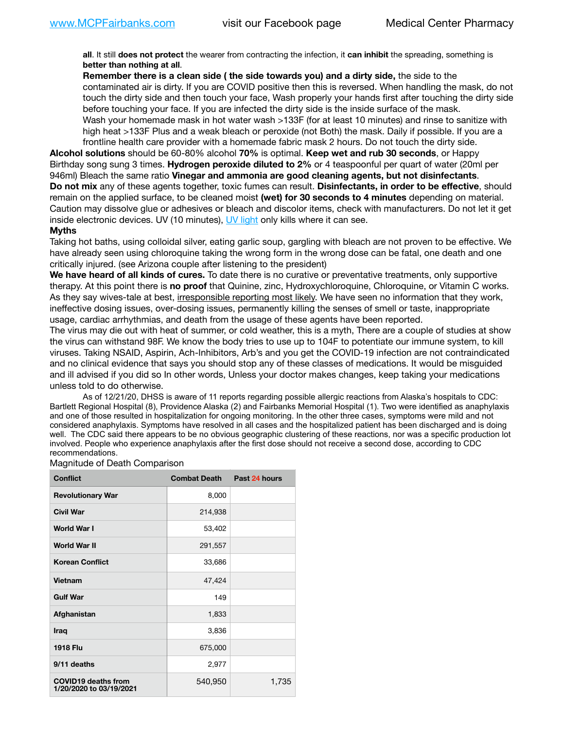**all**. It still **does not protect** the wearer from contracting the infection, it **can inhibit** the spreading, something is **better than nothing at all**.

**Remember there is a clean side ( the side towards you) and a dirty side,** the side to the contaminated air is dirty. If you are COVID positive then this is reversed. When handling the mask, do not touch the dirty side and then touch your face, Wash properly your hands first after touching the dirty side before touching your face. If you are infected the dirty side is the inside surface of the mask. Wash your homemade mask in hot water wash >133F (for at least 10 minutes) and rinse to sanitize with high heat >133F Plus and a weak bleach or peroxide (not Both) the mask. Daily if possible. If you are a frontline health care provider with a homemade fabric mask 2 hours. Do not touch the dirty side.

**Alcohol solutions** should be 60-80% alcohol **70%** is optimal. **Keep wet and rub 30 seconds**, or Happy Birthday song sung 3 times. **Hydrogen peroxide diluted to 2%** or 4 teaspoonful per quart of water (20ml per 946ml) Bleach the same ratio **Vinegar and ammonia are good cleaning agents, but not disinfectants**. **Do not mix** any of these agents together, toxic fumes can result. **Disinfectants, in order to be effective**, should remain on the applied surface, to be cleaned moist **(wet) for 30 seconds to 4 minutes** depending on material. Caution may dissolve glue or adhesives or bleach and discolor items, check with manufacturers. Do not let it get inside electronic devices. UV (10 minutes), [UV light](http://www.docreviews.me/best-uv-boxes-2020/?fbclid=IwAR3bvFtXB48OoBBSvYvTEnKuHNPbipxM6jUo82QUSw9wckxjC7wwRZWabGw) only kills where it can see.

### **Myths**

Taking hot baths, using colloidal silver, eating garlic soup, gargling with bleach are not proven to be effective. We have already seen using chloroquine taking the wrong form in the wrong dose can be fatal, one death and one critically injured. (see Arizona couple after listening to the president)

**We have heard of all kinds of cures.** To date there is no curative or preventative treatments, only supportive therapy. At this point there is **no proof** that Quinine, zinc, Hydroxychloroquine, Chloroquine, or Vitamin C works. As they say wives-tale at best, irresponsible reporting most likely. We have seen no information that they work, ineffective dosing issues, over-dosing issues, permanently killing the senses of smell or taste, inappropriate usage, cardiac arrhythmias, and death from the usage of these agents have been reported.

The virus may die out with heat of summer, or cold weather, this is a myth, There are a couple of studies at show the virus can withstand 98F. We know the body tries to use up to 104F to potentiate our immune system, to kill viruses. Taking NSAID, Aspirin, Ach-Inhibitors, Arb's and you get the COVID-19 infection are not contraindicated and no clinical evidence that says you should stop any of these classes of medications. It would be misguided and ill advised if you did so In other words, Unless your doctor makes changes, keep taking your medications unless told to do otherwise.

As of 12/21/20, DHSS is aware of 11 reports regarding possible allergic reactions from Alaska's hospitals to CDC: Bartlett Regional Hospital (8), Providence Alaska (2) and Fairbanks Memorial Hospital (1). Two were identified as anaphylaxis and one of those resulted in hospitalization for ongoing monitoring. In the other three cases, symptoms were mild and not considered anaphylaxis. Symptoms have resolved in all cases and the hospitalized patient has been discharged and is doing well. The CDC said there appears to be no obvious geographic clustering of these reactions, nor was a specific production lot involved. People who experience anaphylaxis after the first dose should not receive a second dose, according to CDC recommendations.

### Magnitude of Death Comparison

| <b>Conflict</b>                                       | <b>Combat Death</b> | Past 24 hours |
|-------------------------------------------------------|---------------------|---------------|
| <b>Revolutionary War</b>                              | 8,000               |               |
| <b>Civil War</b>                                      | 214,938             |               |
| <b>World War I</b>                                    | 53,402              |               |
| <b>World War II</b>                                   | 291,557             |               |
| <b>Korean Conflict</b>                                | 33,686              |               |
| Vietnam                                               | 47,424              |               |
| <b>Gulf War</b>                                       | 149                 |               |
| Afghanistan                                           | 1,833               |               |
| Iraq                                                  | 3,836               |               |
| <b>1918 Flu</b>                                       | 675,000             |               |
| 9/11 deaths                                           | 2,977               |               |
| <b>COVID19 deaths from</b><br>1/20/2020 to 03/19/2021 | 540,950             | 1,735         |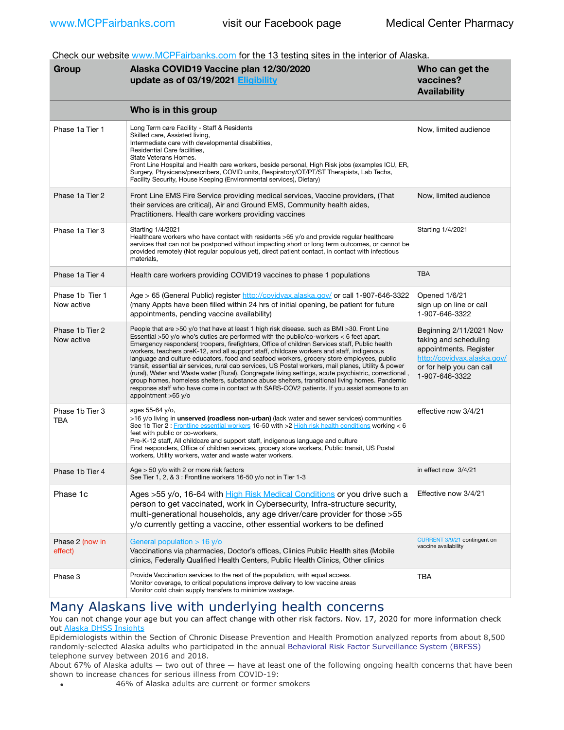Check our website [www.MCPFairbanks.com](http://www.MCPFairbanks.com) for the 13 testing sites in the interior of Alaska.

| Group                         | Alaska COVID19 Vaccine plan 12/30/2020<br>update as of 03/19/2021 Eligibility                                                                                                                                                                                                                                                                                                                                                                                                                                                                                                                                                                                                                                                                                                                                                                                                                                                 | Who can get the<br>vaccines?<br><b>Availability</b>                                                                                                     |
|-------------------------------|-------------------------------------------------------------------------------------------------------------------------------------------------------------------------------------------------------------------------------------------------------------------------------------------------------------------------------------------------------------------------------------------------------------------------------------------------------------------------------------------------------------------------------------------------------------------------------------------------------------------------------------------------------------------------------------------------------------------------------------------------------------------------------------------------------------------------------------------------------------------------------------------------------------------------------|---------------------------------------------------------------------------------------------------------------------------------------------------------|
|                               | Who is in this group                                                                                                                                                                                                                                                                                                                                                                                                                                                                                                                                                                                                                                                                                                                                                                                                                                                                                                          |                                                                                                                                                         |
| Phase 1a Tier 1               | Long Term care Facility - Staff & Residents<br>Skilled care, Assisted living,<br>Intermediate care with developmental disabilities,<br>Residential Care facilities,<br>State Veterans Homes.<br>Front Line Hospital and Health care workers, beside personal, High Risk jobs (examples ICU, ER,<br>Surgery, Physicans/prescribers, COVID units, Respiratory/OT/PT/ST Therapists, Lab Techs,<br>Facility Security, House Keeping (Environmental services), Dietary)                                                                                                                                                                                                                                                                                                                                                                                                                                                            | Now, limited audience                                                                                                                                   |
| Phase 1a Tier 2               | Front Line EMS Fire Service providing medical services, Vaccine providers, (That<br>their services are critical), Air and Ground EMS, Community health aides,<br>Practitioners. Health care workers providing vaccines                                                                                                                                                                                                                                                                                                                                                                                                                                                                                                                                                                                                                                                                                                        | Now, limited audience                                                                                                                                   |
| Phase 1a Tier 3               | Starting 1/4/2021<br>Healthcare workers who have contact with residents >65 y/o and provide regular healthcare<br>services that can not be postponed without impacting short or long term outcomes, or cannot be<br>provided remotely (Not regular populous yet), direct patient contact, in contact with infectious<br>materials,                                                                                                                                                                                                                                                                                                                                                                                                                                                                                                                                                                                            | Starting 1/4/2021                                                                                                                                       |
| Phase 1a Tier 4               | Health care workers providing COVID19 vaccines to phase 1 populations                                                                                                                                                                                                                                                                                                                                                                                                                                                                                                                                                                                                                                                                                                                                                                                                                                                         | <b>TBA</b>                                                                                                                                              |
| Phase 1b Tier 1<br>Now active | Age > 65 (General Public) register http://covidvax.alaska.gov/ or call 1-907-646-3322<br>(many Appts have been filled within 24 hrs of initial opening, be patient for future<br>appointments, pending vaccine availability)                                                                                                                                                                                                                                                                                                                                                                                                                                                                                                                                                                                                                                                                                                  | Opened 1/6/21<br>sign up on line or call<br>1-907-646-3322                                                                                              |
| Phase 1b Tier 2<br>Now active | People that are >50 y/o that have at least 1 high risk disease. such as BMI >30. Front Line<br>Essential $>50$ y/o who's duties are performed with the public/co-workers $<$ 6 feet apart.<br>Emergency responders(troopers, firefighters, Office of children Services staff, Public health<br>workers, teachers preK-12, and all support staff, childcare workers and staff, indigenous<br>language and culture educators, food and seafood workers, grocery store employees, public<br>transit, essential air services, rural cab services, US Postal workers, mail planes, Utility & power<br>(rural), Water and Waste water (Rural), Congregate living settings, acute psychiatric, correctional,<br>group homes, homeless shelters, substance abuse shelters, transitional living homes. Pandemic<br>response staff who have come in contact with SARS-COV2 patients. If you assist someone to an<br>appointment >65 y/o | Beginning 2/11/2021 Now<br>taking and scheduling<br>appointments. Register<br>http://covidvax.alaska.gov/<br>or for help you can call<br>1-907-646-3322 |
| Phase 1b Tier 3<br>TBA        | ages 55-64 y/o,<br>>16 y/o living in <b>unserved (roadless non-urban)</b> (lack water and sewer services) communities<br>See 1b Tier 2: Frontline essential workers 16-50 with >2 High risk health conditions working < 6<br>feet with public or co-workers,<br>Pre-K-12 staff, All childcare and support staff, indigenous language and culture<br>First responders, Office of children services, grocery store workers, Public transit, US Postal<br>workers, Utility workers, water and waste water workers.                                                                                                                                                                                                                                                                                                                                                                                                               | effective now 3/4/21                                                                                                                                    |
| Phase 1b Tier 4               | Age $>$ 50 y/o with 2 or more risk factors<br>See Tier 1, 2, & 3 : Frontline workers 16-50 y/o not in Tier 1-3                                                                                                                                                                                                                                                                                                                                                                                                                                                                                                                                                                                                                                                                                                                                                                                                                | in effect now 3/4/21                                                                                                                                    |
| Phase 1c                      | Ages >55 y/o, 16-64 with High Risk Medical Conditions or you drive such a<br>person to get vaccinated, work in Cybersecurity, Infra-structure security,<br>multi-generational households, any age driver/care provider for those > 55<br>y/o currently getting a vaccine, other essential workers to be defined                                                                                                                                                                                                                                                                                                                                                                                                                                                                                                                                                                                                               | Effective now 3/4/21                                                                                                                                    |
| Phase 2 (now in<br>effect)    | General population $> 16$ y/o<br>Vaccinations via pharmacies, Doctor's offices, Clinics Public Health sites (Mobile<br>clinics, Federally Qualified Health Centers, Public Health Clinics, Other clinics                                                                                                                                                                                                                                                                                                                                                                                                                                                                                                                                                                                                                                                                                                                      | CURRENT 3/9/21 contingent on<br>vaccine availability                                                                                                    |
| Phase 3                       | Provide Vaccination services to the rest of the population, with equal access.<br>Monitor coverage, to critical populations improve delivery to low vaccine areas<br>Monitor cold chain supply transfers to minimize wastage.                                                                                                                                                                                                                                                                                                                                                                                                                                                                                                                                                                                                                                                                                                 | TBA                                                                                                                                                     |

# Many Alaskans live with underlying health concerns

You can not change your age but you can affect change with other risk factors. Nov. 17, 2020 for more information check out [Alaska DHSS Insights](http://dhss.alaska.gov/dph/Epi/id/Pages/COVID-19/blog/20201117.aspx)

Epidemiologists within the Section of Chronic Disease Prevention and Health Promotion analyzed reports from about 8,500 randomly-selected Alaska adults who participated in the annual [Behavioral Risk Factor Surveillance System \(BRFSS\)](http://dhss.alaska.gov/dph/Chronic/Pages/brfss/default.aspx) telephone survey between 2016 and 2018.

About 67% of Alaska adults — two out of three — have at least one of the following ongoing health concerns that have been shown to increase chances for serious illness from COVID-19:

• 46% of Alaska adults are current or former smokers